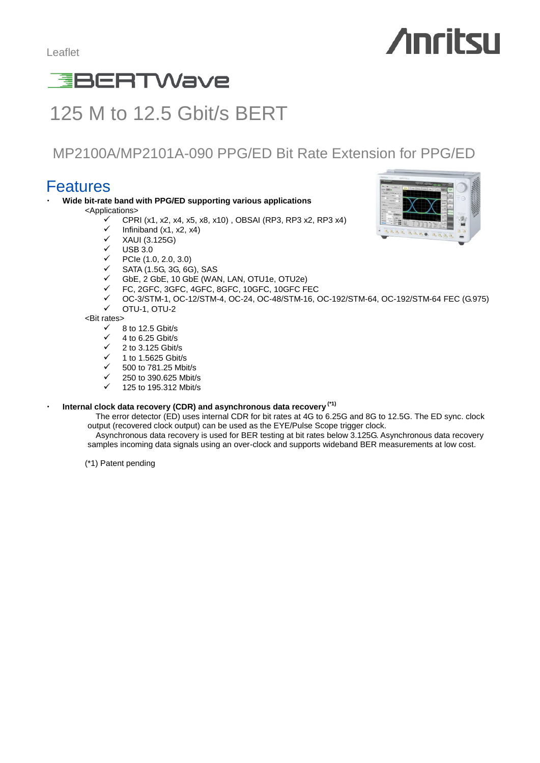# **Anritsu**

# **EBERTWave**

# 125 M to 12.5 Gbit/s BERT

### MP2100A/MP2101A-090 PPG/ED Bit Rate Extension for PPG/ED

### Features

- **Wide bit-rate band with PPG/ED supporting various applications** 
	- <Applications>
		- CPRI (x1, x2, x4, x5, x8, x10) , OBSAI (RP3, RP3 x2, RP3 x4)
		- $\checkmark$  Infiniband (x1, x2, x4)<br> $\checkmark$  XALII (3, 125G)
		- XAUI (3.125G)
		- $\checkmark$  USB 3.0<br> $\checkmark$  PCIe (1)
		- PCIe (1.0, 2.0, 3.0)
		- SATA (1.5G, 3G, 6G), SAS
		- GbE, 2 GbE, 10 GbE (WAN, LAN, OTU1e, OTU2e)
		- FC, 2GFC, 3GFC, 4GFC, 8GFC, 10GFC, 10GFC FEC
		- $\checkmark$  OC-3/STM-1, OC-12/STM-4, OC-24, OC-48/STM-16, OC-192/STM-64, OC-192/STM-64 FEC (G.975)<br> $\checkmark$  OTIL1 OTIL2
		- OTU-1, OTU-2

<Bit rates>

- $\begin{array}{cc}\n\checkmark & 8 \text{ to } 12.5 \text{ Gbit/s} \\
\checkmark & 4 \text{ to } 5.25 \text{ Cbit/s}\n\end{array}$
- $\checkmark$  4 to 6.25 Gbit/s
- 2 to 3.125 Gbit/s
- $\checkmark$  1 to 1.5625 Gbit/s
- 500 to 781.25 Mbit/s
- 250 to 390.625 Mbit/s
- 125 to 195.312 Mbit/s

### ・ **Internal clock data recovery (CDR) and asynchronous data recovery (\*1)**

The error detector (ED) uses internal CDR for bit rates at 4G to 6.25G and 8G to 12.5G. The ED sync. clock output (recovered clock output) can be used as the EYE/Pulse Scope trigger clock.

Asynchronous data recovery is used for BER testing at bit rates below 3.125G. Asynchronous data recovery samples incoming data signals using an over-clock and supports wideband BER measurements at low cost.

(\*1) Patent pending